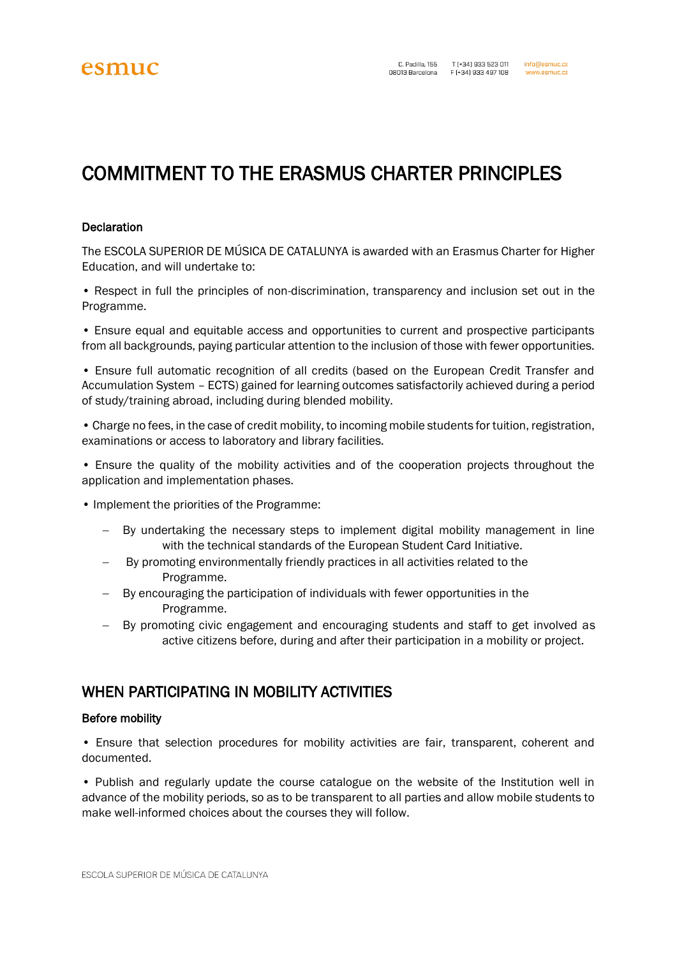# COMMITMENT TO THE ERASMUS CHARTER PRINCIPLES

## **Declaration**

The ESCOLA SUPERIOR DE MÚSICA DE CATALUNYA is awarded with an Erasmus Charter for Higher Education, and will undertake to:

• Respect in full the principles of non-discrimination, transparency and inclusion set out in the Programme.

• Ensure equal and equitable access and opportunities to current and prospective participants from all backgrounds, paying particular attention to the inclusion of those with fewer opportunities.

• Ensure full automatic recognition of all credits (based on the European Credit Transfer and Accumulation System – ECTS) gained for learning outcomes satisfactorily achieved during a period of study/training abroad, including during blended mobility.

• Charge no fees, in the case of credit mobility, to incoming mobile students for tuition, registration, examinations or access to laboratory and library facilities.

• Ensure the quality of the mobility activities and of the cooperation projects throughout the application and implementation phases.

- Implement the priorities of the Programme:
	- − By undertaking the necessary steps to implement digital mobility management in line with the technical standards of the European Student Card Initiative.
	- − By promoting environmentally friendly practices in all activities related to the Programme.
	- By encouraging the participation of individuals with fewer opportunities in the Programme.
	- − By promoting civic engagement and encouraging students and staff to get involved as active citizens before, during and after their participation in a mobility or project.

# WHEN PARTICIPATING IN MOBILITY ACTIVITIES

## Before mobility

• Ensure that selection procedures for mobility activities are fair, transparent, coherent and documented.

• Publish and regularly update the course catalogue on the website of the Institution well in advance of the mobility periods, so as to be transparent to all parties and allow mobile students to make well-informed choices about the courses they will follow.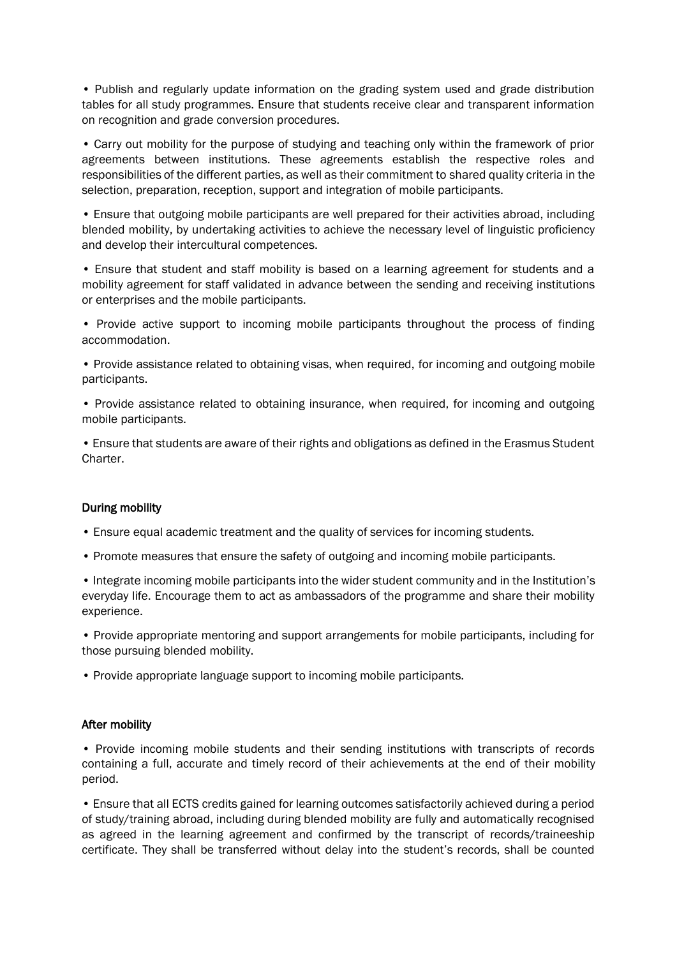• Publish and regularly update information on the grading system used and grade distribution tables for all study programmes. Ensure that students receive clear and transparent information on recognition and grade conversion procedures.

• Carry out mobility for the purpose of studying and teaching only within the framework of prior agreements between institutions. These agreements establish the respective roles and responsibilities of the different parties, as well as their commitment to shared quality criteria in the selection, preparation, reception, support and integration of mobile participants.

• Ensure that outgoing mobile participants are well prepared for their activities abroad, including blended mobility, by undertaking activities to achieve the necessary level of linguistic proficiency and develop their intercultural competences.

• Ensure that student and staff mobility is based on a learning agreement for students and a mobility agreement for staff validated in advance between the sending and receiving institutions or enterprises and the mobile participants.

• Provide active support to incoming mobile participants throughout the process of finding accommodation.

• Provide assistance related to obtaining visas, when required, for incoming and outgoing mobile participants.

• Provide assistance related to obtaining insurance, when required, for incoming and outgoing mobile participants.

• Ensure that students are aware of their rights and obligations as defined in the Erasmus Student Charter.

## During mobility

- Ensure equal academic treatment and the quality of services for incoming students.
- Promote measures that ensure the safety of outgoing and incoming mobile participants.

• Integrate incoming mobile participants into the wider student community and in the Institution's everyday life. Encourage them to act as ambassadors of the programme and share their mobility experience.

• Provide appropriate mentoring and support arrangements for mobile participants, including for those pursuing blended mobility.

• Provide appropriate language support to incoming mobile participants.

#### After mobility

• Provide incoming mobile students and their sending institutions with transcripts of records containing a full, accurate and timely record of their achievements at the end of their mobility period.

• Ensure that all ECTS credits gained for learning outcomes satisfactorily achieved during a period of study/training abroad, including during blended mobility are fully and automatically recognised as agreed in the learning agreement and confirmed by the transcript of records/traineeship certificate. They shall be transferred without delay into the student's records, shall be counted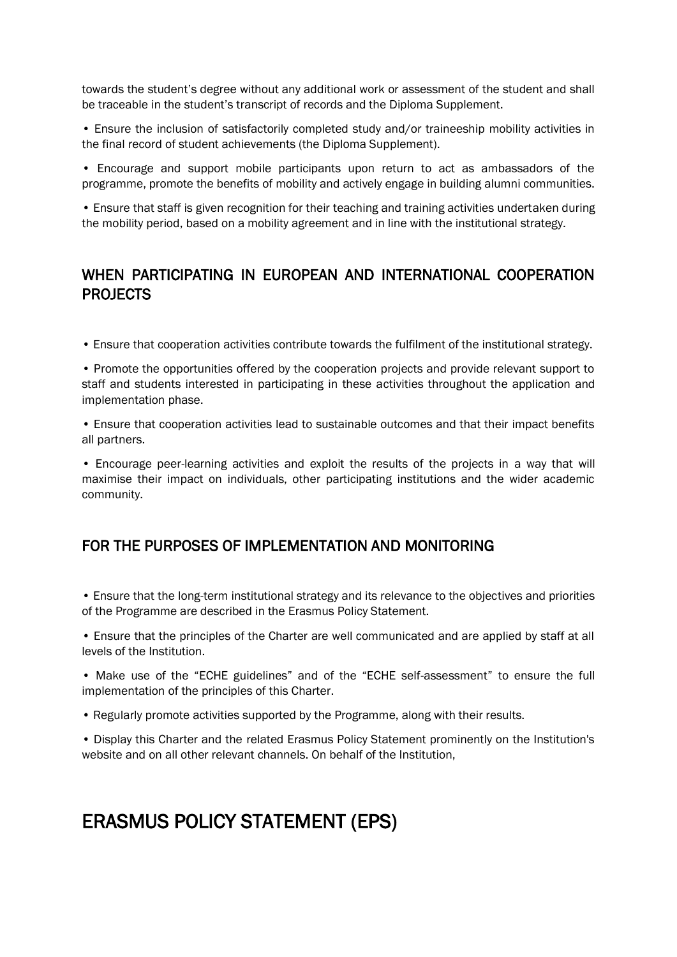towards the student's degree without any additional work or assessment of the student and shall be traceable in the student's transcript of records and the Diploma Supplement.

• Ensure the inclusion of satisfactorily completed study and/or traineeship mobility activities in the final record of student achievements (the Diploma Supplement).

• Encourage and support mobile participants upon return to act as ambassadors of the programme, promote the benefits of mobility and actively engage in building alumni communities.

• Ensure that staff is given recognition for their teaching and training activities undertaken during the mobility period, based on a mobility agreement and in line with the institutional strategy.

# WHEN PARTICIPATING IN EUROPEAN AND INTERNATIONAL COOPERATION PROJECTS

• Ensure that cooperation activities contribute towards the fulfilment of the institutional strategy.

• Promote the opportunities offered by the cooperation projects and provide relevant support to staff and students interested in participating in these activities throughout the application and implementation phase.

• Ensure that cooperation activities lead to sustainable outcomes and that their impact benefits all partners.

• Encourage peer-learning activities and exploit the results of the projects in a way that will maximise their impact on individuals, other participating institutions and the wider academic community.

# FOR THE PURPOSES OF IMPLEMENTATION AND MONITORING

• Ensure that the long-term institutional strategy and its relevance to the objectives and priorities of the Programme are described in the Erasmus Policy Statement.

• Ensure that the principles of the Charter are well communicated and are applied by staff at all levels of the Institution.

• Make use of the "ECHE guidelines" and of the "ECHE self-assessment" to ensure the full implementation of the principles of this Charter.

• Regularly promote activities supported by the Programme, along with their results.

• Display this Charter and the related Erasmus Policy Statement prominently on the Institution's website and on all other relevant channels. On behalf of the Institution,

# ERASMUS POLICY STATEMENT (EPS)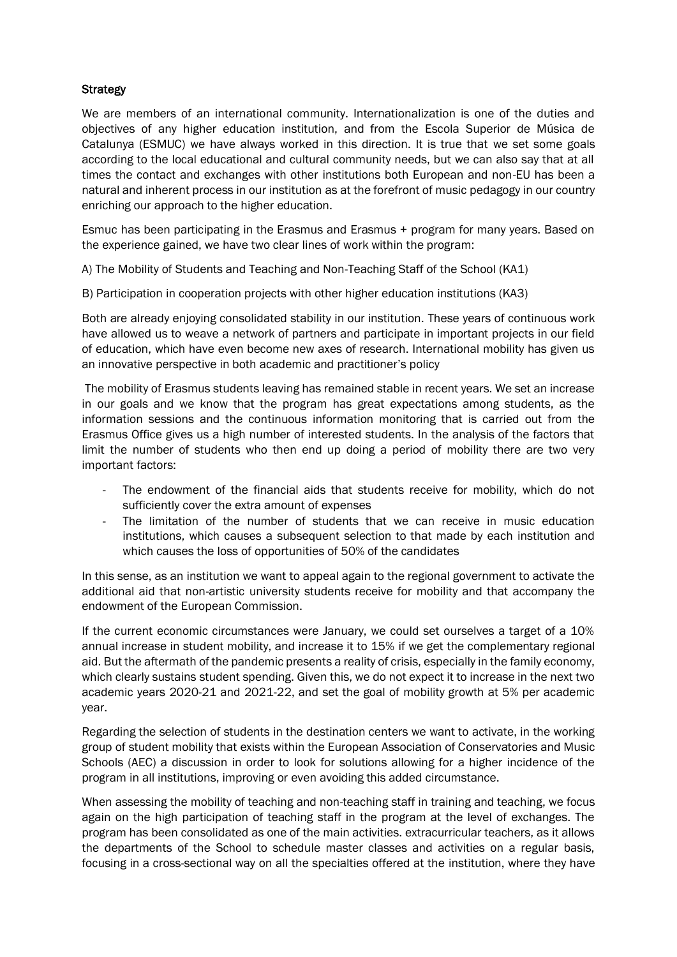# **Strategy**

We are members of an international community. Internationalization is one of the duties and objectives of any higher education institution, and from the Escola Superior de Música de Catalunya (ESMUC) we have always worked in this direction. It is true that we set some goals according to the local educational and cultural community needs, but we can also say that at all times the contact and exchanges with other institutions both European and non-EU has been a natural and inherent process in our institution as at the forefront of music pedagogy in our country enriching our approach to the higher education.

Esmuc has been participating in the Erasmus and Erasmus + program for many years. Based on the experience gained, we have two clear lines of work within the program:

A) The Mobility of Students and Teaching and Non-Teaching Staff of the School (KA1)

B) Participation in cooperation projects with other higher education institutions (KA3)

Both are already enjoying consolidated stability in our institution. These years of continuous work have allowed us to weave a network of partners and participate in important projects in our field of education, which have even become new axes of research. International mobility has given us an innovative perspective in both academic and practitioner's policy

The mobility of Erasmus students leaving has remained stable in recent years. We set an increase in our goals and we know that the program has great expectations among students, as the information sessions and the continuous information monitoring that is carried out from the Erasmus Office gives us a high number of interested students. In the analysis of the factors that limit the number of students who then end up doing a period of mobility there are two very important factors:

- The endowment of the financial aids that students receive for mobility, which do not sufficiently cover the extra amount of expenses
- The limitation of the number of students that we can receive in music education institutions, which causes a subsequent selection to that made by each institution and which causes the loss of opportunities of 50% of the candidates

In this sense, as an institution we want to appeal again to the regional government to activate the additional aid that non-artistic university students receive for mobility and that accompany the endowment of the European Commission.

If the current economic circumstances were January, we could set ourselves a target of a 10% annual increase in student mobility, and increase it to 15% if we get the complementary regional aid. But the aftermath of the pandemic presents a reality of crisis, especially in the family economy, which clearly sustains student spending. Given this, we do not expect it to increase in the next two academic years 2020-21 and 2021-22, and set the goal of mobility growth at 5% per academic year.

Regarding the selection of students in the destination centers we want to activate, in the working group of student mobility that exists within the European Association of Conservatories and Music Schools (AEC) a discussion in order to look for solutions allowing for a higher incidence of the program in all institutions, improving or even avoiding this added circumstance.

When assessing the mobility of teaching and non-teaching staff in training and teaching, we focus again on the high participation of teaching staff in the program at the level of exchanges. The program has been consolidated as one of the main activities. extracurricular teachers, as it allows the departments of the School to schedule master classes and activities on a regular basis, focusing in a cross-sectional way on all the specialties offered at the institution, where they have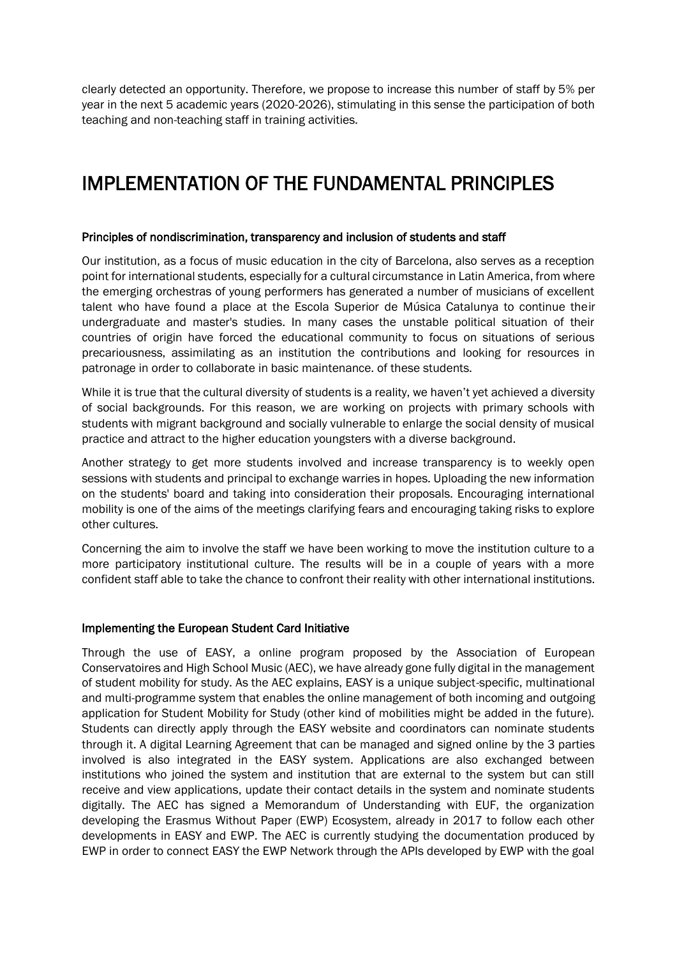clearly detected an opportunity. Therefore, we propose to increase this number of staff by 5% per year in the next 5 academic years (2020-2026), stimulating in this sense the participation of both teaching and non-teaching staff in training activities.

# IMPLEMENTATION OF THE FUNDAMENTAL PRINCIPLES

#### Principles of nondiscrimination, transparency and inclusion of students and staff

Our institution, as a focus of music education in the city of Barcelona, also serves as a reception point for international students, especially for a cultural circumstance in Latin America, from where the emerging orchestras of young performers has generated a number of musicians of excellent talent who have found a place at the Escola Superior de Música Catalunya to continue their undergraduate and master's studies. In many cases the unstable political situation of their countries of origin have forced the educational community to focus on situations of serious precariousness, assimilating as an institution the contributions and looking for resources in patronage in order to collaborate in basic maintenance. of these students.

While it is true that the cultural diversity of students is a reality, we haven't yet achieved a diversity of social backgrounds. For this reason, we are working on projects with primary schools with students with migrant background and socially vulnerable to enlarge the social density of musical practice and attract to the higher education youngsters with a diverse background.

Another strategy to get more students involved and increase transparency is to weekly open sessions with students and principal to exchange warries in hopes. Uploading the new information on the students' board and taking into consideration their proposals. Encouraging international mobility is one of the aims of the meetings clarifying fears and encouraging taking risks to explore other cultures.

Concerning the aim to involve the staff we have been working to move the institution culture to a more participatory institutional culture. The results will be in a couple of years with a more confident staff able to take the chance to confront their reality with other international institutions.

#### Implementing the European Student Card Initiative

Through the use of EASY, a online program proposed by the Association of European Conservatoires and High School Music (AEC), we have already gone fully digital in the management of student mobility for study. As the AEC explains, EASY is a unique subject-specific, multinational and multi-programme system that enables the online management of both incoming and outgoing application for Student Mobility for Study (other kind of mobilities might be added in the future). Students can directly apply through the EASY website and coordinators can nominate students through it. A digital Learning Agreement that can be managed and signed online by the 3 parties involved is also integrated in the EASY system. Applications are also exchanged between institutions who joined the system and institution that are external to the system but can still receive and view applications, update their contact details in the system and nominate students digitally. The AEC has signed a Memorandum of Understanding with EUF, the organization developing the Erasmus Without Paper (EWP) Ecosystem, already in 2017 to follow each other developments in EASY and EWP. The AEC is currently studying the documentation produced by EWP in order to connect EASY the EWP Network through the APIs developed by EWP with the goal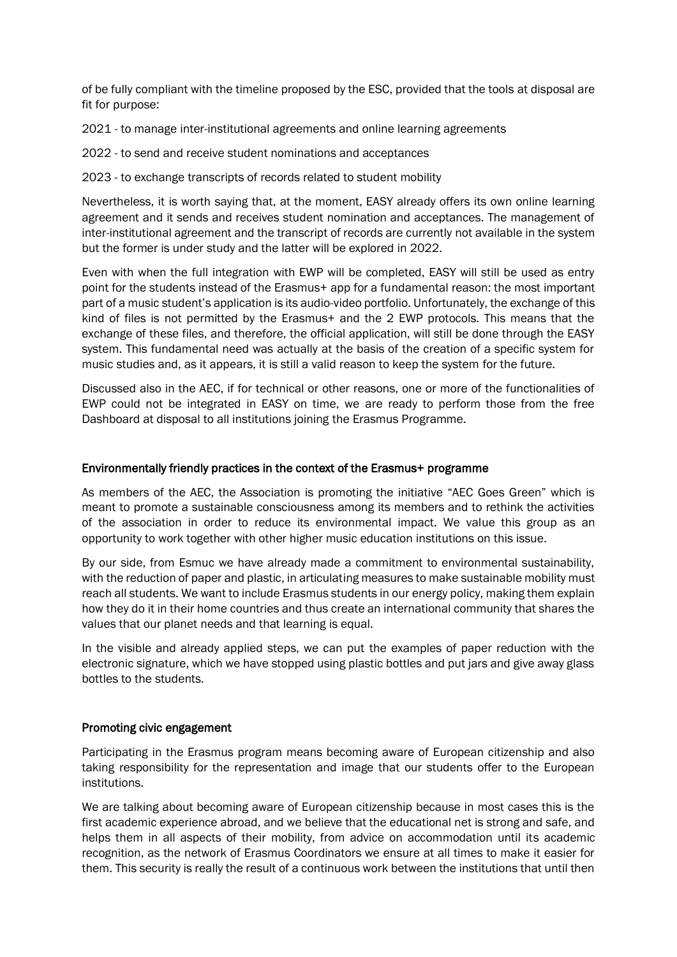of be fully compliant with the timeline proposed by the ESC, provided that the tools at disposal are fit for purpose:

2021 - to manage inter-institutional agreements and online learning agreements

2022 - to send and receive student nominations and acceptances

2023 - to exchange transcripts of records related to student mobility

Nevertheless, it is worth saying that, at the moment, EASY already offers its own online learning agreement and it sends and receives student nomination and acceptances. The management of inter-institutional agreement and the transcript of records are currently not available in the system but the former is under study and the latter will be explored in 2022.

Even with when the full integration with EWP will be completed, EASY will still be used as entry point for the students instead of the Erasmus+ app for a fundamental reason: the most important part of a music student's application is its audio-video portfolio. Unfortunately, the exchange of this kind of files is not permitted by the Erasmus+ and the 2 EWP protocols. This means that the exchange of these files, and therefore, the official application, will still be done through the EASY system. This fundamental need was actually at the basis of the creation of a specific system for music studies and, as it appears, it is still a valid reason to keep the system for the future.

Discussed also in the AEC, if for technical or other reasons, one or more of the functionalities of EWP could not be integrated in EASY on time, we are ready to perform those from the free Dashboard at disposal to all institutions joining the Erasmus Programme.

## Environmentally friendly practices in the context of the Erasmus+ programme

As members of the AEC, the Association is promoting the initiative "AEC Goes Green" which is meant to promote a sustainable consciousness among its members and to rethink the activities of the association in order to reduce its environmental impact. We value this group as an opportunity to work together with other higher music education institutions on this issue.

By our side, from Esmuc we have already made a commitment to environmental sustainability, with the reduction of paper and plastic, in articulating measures to make sustainable mobility must reach all students. We want to include Erasmus students in our energy policy, making them explain how they do it in their home countries and thus create an international community that shares the values that our planet needs and that learning is equal.

In the visible and already applied steps, we can put the examples of paper reduction with the electronic signature, which we have stopped using plastic bottles and put jars and give away glass bottles to the students.

## Promoting civic engagement

Participating in the Erasmus program means becoming aware of European citizenship and also taking responsibility for the representation and image that our students offer to the European institutions.

We are talking about becoming aware of European citizenship because in most cases this is the first academic experience abroad, and we believe that the educational net is strong and safe, and helps them in all aspects of their mobility, from advice on accommodation until its academic recognition, as the network of Erasmus Coordinators we ensure at all times to make it easier for them. This security is really the result of a continuous work between the institutions that until then